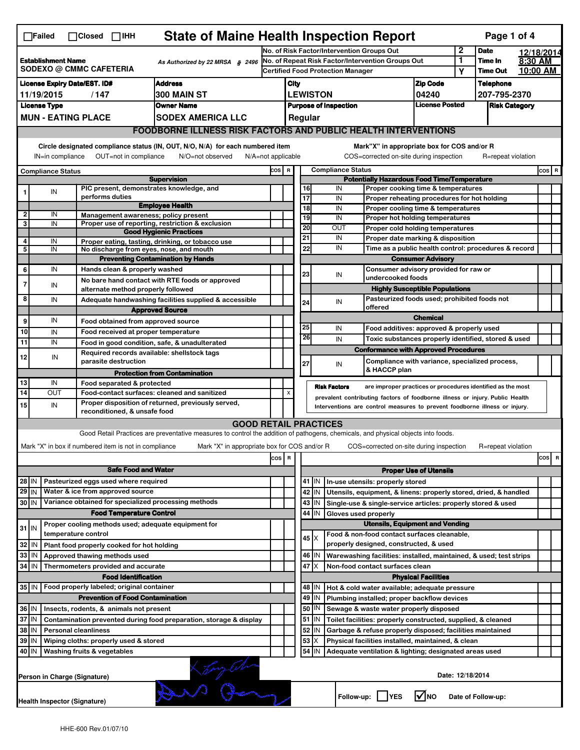| <b>State of Maine Health Inspection Report</b><br>Page 1 of 4<br>$\Box$ Failed<br>$\Box$ Closed $\Box$ IHH |                                                                                                                                                                                                                                                                                           |  |                                                       |                                                                                                                                   |                                          |                           |                                                    |                                                              |                                                                                                       |                                                                                   |                                |                                  |                      |          |         |
|------------------------------------------------------------------------------------------------------------|-------------------------------------------------------------------------------------------------------------------------------------------------------------------------------------------------------------------------------------------------------------------------------------------|--|-------------------------------------------------------|-----------------------------------------------------------------------------------------------------------------------------------|------------------------------------------|---------------------------|----------------------------------------------------|--------------------------------------------------------------|-------------------------------------------------------------------------------------------------------|-----------------------------------------------------------------------------------|--------------------------------|----------------------------------|----------------------|----------|---------|
|                                                                                                            |                                                                                                                                                                                                                                                                                           |  | No. of Risk Factor/Intervention Groups Out            |                                                                                                                                   |                                          |                           |                                                    |                                                              | 2                                                                                                     | <b>Date</b>                                                                       |                                | 12/18/2014                       |                      |          |         |
| <b>Establishment Name</b><br>As Authorized by 22 MRSA § 2496<br>SODEXO @ CMMC CAFETERIA                    |                                                                                                                                                                                                                                                                                           |  |                                                       | No. of Repeat Risk Factor/Intervention Groups Out                                                                                 |                                          |                           |                                                    |                                                              |                                                                                                       |                                                                                   | 1                              | Time In                          | 8:30 AM              |          |         |
|                                                                                                            |                                                                                                                                                                                                                                                                                           |  |                                                       |                                                                                                                                   | <b>Certified Food Protection Manager</b> |                           |                                                    |                                                              |                                                                                                       |                                                                                   | Y                              | <b>Time Out</b>                  |                      | 10:00 AM |         |
| <b>Address</b><br><b>License Expiry Date/EST. ID#</b>                                                      |                                                                                                                                                                                                                                                                                           |  |                                                       |                                                                                                                                   |                                          | City<br><b>LEWISTON</b>   |                                                    |                                                              |                                                                                                       | <b>Zip Code</b>                                                                   |                                | <b>Telephone</b><br>207-795-2370 |                      |          |         |
| 300 MAIN ST<br>11/19/2015<br>/147                                                                          |                                                                                                                                                                                                                                                                                           |  |                                                       |                                                                                                                                   |                                          |                           |                                                    |                                                              | <b>Purpose of Inspection</b>                                                                          |                                                                                   | 04240<br><b>License Posted</b> |                                  | <b>Risk Category</b> |          |         |
| <b>License Type</b><br><b>Owner Name</b><br><b>MUN - EATING PLACE</b><br><b>SODEX AMERICA LLC</b>          |                                                                                                                                                                                                                                                                                           |  |                                                       |                                                                                                                                   |                                          |                           |                                                    | Regular                                                      |                                                                                                       |                                                                                   |                                |                                  |                      |          |         |
|                                                                                                            | FOODBORNE ILLNESS RISK FACTORS AND PUBLIC HEALTH INTERVENTIONS                                                                                                                                                                                                                            |  |                                                       |                                                                                                                                   |                                          |                           |                                                    |                                                              |                                                                                                       |                                                                                   |                                |                                  |                      |          |         |
|                                                                                                            | Circle designated compliance status (IN, OUT, N/O, N/A) for each numbered item<br>Mark"X" in appropriate box for COS and/or R<br>OUT=not in compliance<br>COS=corrected on-site during inspection<br>IN=in compliance<br>N/O=not observed<br>$N/A = not$ applicable<br>R=repeat violation |  |                                                       |                                                                                                                                   |                                          |                           |                                                    |                                                              |                                                                                                       |                                                                                   |                                |                                  |                      |          |         |
| <b>Compliance Status</b>                                                                                   |                                                                                                                                                                                                                                                                                           |  |                                                       |                                                                                                                                   | COS R                                    |                           |                                                    |                                                              | <b>Compliance Status</b>                                                                              |                                                                                   |                                |                                  |                      |          | $cos$ R |
|                                                                                                            |                                                                                                                                                                                                                                                                                           |  |                                                       | <b>Supervision</b>                                                                                                                |                                          |                           | <b>Potentially Hazardous Food Time/Temperature</b> |                                                              |                                                                                                       |                                                                                   |                                |                                  |                      |          |         |
|                                                                                                            | IN                                                                                                                                                                                                                                                                                        |  |                                                       | PIC present, demonstrates knowledge, and                                                                                          |                                          |                           | 16                                                 |                                                              | IN                                                                                                    | Proper cooking time & temperatures                                                |                                |                                  |                      |          |         |
|                                                                                                            |                                                                                                                                                                                                                                                                                           |  | performs duties                                       | <b>Employee Health</b>                                                                                                            |                                          |                           | 17<br>18                                           |                                                              | IN<br>IN                                                                                              | Proper reheating procedures for hot holding<br>Proper cooling time & temperatures |                                |                                  |                      |          |         |
| 2                                                                                                          | IN                                                                                                                                                                                                                                                                                        |  |                                                       | Management awareness; policy present                                                                                              |                                          |                           | 19                                                 |                                                              | IN                                                                                                    | Proper hot holding temperatures                                                   |                                |                                  |                      |          |         |
| 3                                                                                                          | IN                                                                                                                                                                                                                                                                                        |  |                                                       | Proper use of reporting, restriction & exclusion<br><b>Good Hygienic Practices</b>                                                |                                          |                           | 20                                                 |                                                              | OUT                                                                                                   | Proper cold holding temperatures                                                  |                                |                                  |                      |          |         |
| 4                                                                                                          | IN                                                                                                                                                                                                                                                                                        |  |                                                       | Proper eating, tasting, drinking, or tobacco use                                                                                  |                                          |                           | 21                                                 |                                                              | IN                                                                                                    | Proper date marking & disposition                                                 |                                |                                  |                      |          |         |
| 5                                                                                                          | IN                                                                                                                                                                                                                                                                                        |  |                                                       | No discharge from eyes, nose, and mouth                                                                                           |                                          |                           | 22                                                 |                                                              | IN                                                                                                    | Time as a public health control: procedures & record                              |                                |                                  |                      |          |         |
|                                                                                                            |                                                                                                                                                                                                                                                                                           |  |                                                       | <b>Preventing Contamination by Hands</b>                                                                                          |                                          |                           | <b>Consumer Advisory</b>                           |                                                              |                                                                                                       |                                                                                   |                                |                                  |                      |          |         |
| 6                                                                                                          | IN                                                                                                                                                                                                                                                                                        |  | Hands clean & properly washed                         |                                                                                                                                   |                                          |                           | Consumer advisory provided for raw or<br>23<br>IN  |                                                              |                                                                                                       |                                                                                   |                                |                                  |                      |          |         |
| 7                                                                                                          | IN                                                                                                                                                                                                                                                                                        |  |                                                       | No bare hand contact with RTE foods or approved                                                                                   |                                          |                           |                                                    |                                                              |                                                                                                       | undercooked foods<br><b>Highly Susceptible Populations</b>                        |                                |                                  |                      |          |         |
| 8                                                                                                          | IN                                                                                                                                                                                                                                                                                        |  | alternate method properly followed                    |                                                                                                                                   |                                          |                           |                                                    |                                                              |                                                                                                       | Pasteurized foods used; prohibited foods not                                      |                                |                                  |                      |          |         |
|                                                                                                            |                                                                                                                                                                                                                                                                                           |  |                                                       | Adequate handwashing facilities supplied & accessible<br><b>Approved Source</b>                                                   |                                          |                           | 24                                                 |                                                              | IN                                                                                                    | offered                                                                           |                                |                                  |                      |          |         |
| 9                                                                                                          | IN                                                                                                                                                                                                                                                                                        |  | Food obtained from approved source                    |                                                                                                                                   |                                          |                           |                                                    |                                                              |                                                                                                       |                                                                                   | <b>Chemical</b>                |                                  |                      |          |         |
| 10                                                                                                         | IN                                                                                                                                                                                                                                                                                        |  | Food received at proper temperature                   |                                                                                                                                   |                                          |                           | 25                                                 |                                                              | IN                                                                                                    | Food additives: approved & properly used                                          |                                |                                  |                      |          |         |
| 11                                                                                                         | IN                                                                                                                                                                                                                                                                                        |  |                                                       | Food in good condition, safe, & unadulterated                                                                                     |                                          |                           | 26                                                 |                                                              | IN                                                                                                    | Toxic substances properly identified, stored & used                               |                                |                                  |                      |          |         |
|                                                                                                            |                                                                                                                                                                                                                                                                                           |  |                                                       | Required records available: shellstock tags                                                                                       |                                          |                           |                                                    |                                                              |                                                                                                       | <b>Conformance with Approved Procedures</b>                                       |                                |                                  |                      |          |         |
| 12                                                                                                         | IN                                                                                                                                                                                                                                                                                        |  | parasite destruction                                  |                                                                                                                                   |                                          |                           | 27                                                 |                                                              | IN                                                                                                    | Compliance with variance, specialized process,                                    |                                |                                  |                      |          |         |
|                                                                                                            |                                                                                                                                                                                                                                                                                           |  |                                                       | <b>Protection from Contamination</b>                                                                                              |                                          |                           |                                                    |                                                              |                                                                                                       | & HACCP plan                                                                      |                                |                                  |                      |          |         |
| 13<br>$\overline{14}$                                                                                      | IN<br>OUT                                                                                                                                                                                                                                                                                 |  | Food separated & protected                            |                                                                                                                                   |                                          | $\boldsymbol{\mathsf{x}}$ |                                                    |                                                              | <b>Risk Factors</b>                                                                                   | are improper practices or procedures identified as the most                       |                                |                                  |                      |          |         |
|                                                                                                            |                                                                                                                                                                                                                                                                                           |  |                                                       | Food-contact surfaces: cleaned and sanitized<br>Proper disposition of returned, previously served,                                |                                          |                           |                                                    |                                                              |                                                                                                       | prevalent contributing factors of foodborne illness or injury. Public Health      |                                |                                  |                      |          |         |
| 15                                                                                                         | IN                                                                                                                                                                                                                                                                                        |  | reconditioned, & unsafe food                          |                                                                                                                                   |                                          |                           |                                                    |                                                              |                                                                                                       | Interventions are control measures to prevent foodborne illness or injury.        |                                |                                  |                      |          |         |
|                                                                                                            |                                                                                                                                                                                                                                                                                           |  |                                                       | <b>GOOD RETAIL PRACTICES</b>                                                                                                      |                                          |                           |                                                    |                                                              |                                                                                                       |                                                                                   |                                |                                  |                      |          |         |
|                                                                                                            |                                                                                                                                                                                                                                                                                           |  |                                                       | Good Retail Practices are preventative measures to control the addition of pathogens, chemicals, and physical objects into foods. |                                          |                           |                                                    |                                                              |                                                                                                       |                                                                                   |                                |                                  |                      |          |         |
|                                                                                                            |                                                                                                                                                                                                                                                                                           |  | Mark "X" in box if numbered item is not in compliance | Mark "X" in appropriate box for COS and/or R                                                                                      |                                          |                           |                                                    |                                                              |                                                                                                       | COS=corrected on-site during inspection                                           |                                |                                  | R=repeat violation   |          |         |
|                                                                                                            | cos                                                                                                                                                                                                                                                                                       |  |                                                       |                                                                                                                                   |                                          |                           | R                                                  |                                                              |                                                                                                       |                                                                                   |                                |                                  |                      | cos R    |         |
|                                                                                                            |                                                                                                                                                                                                                                                                                           |  | <b>Safe Food and Water</b>                            |                                                                                                                                   |                                          |                           | <b>Proper Use of Utensils</b>                      |                                                              |                                                                                                       |                                                                                   |                                |                                  |                      |          |         |
| 28 IN                                                                                                      |                                                                                                                                                                                                                                                                                           |  | Pasteurized eggs used where required                  |                                                                                                                                   |                                          |                           |                                                    | $41$   IN                                                    |                                                                                                       | In-use utensils: properly stored                                                  |                                |                                  |                      |          |         |
| Water & ice from approved source<br>29 IN                                                                  |                                                                                                                                                                                                                                                                                           |  |                                                       |                                                                                                                                   |                                          |                           | 42<br>IN                                           |                                                              | Utensils, equipment, & linens: properly stored, dried, & handled                                      |                                                                                   |                                |                                  |                      |          |         |
| Variance obtained for specialized processing methods<br>30 IN                                              |                                                                                                                                                                                                                                                                                           |  |                                                       |                                                                                                                                   | 43                                       | IN                        |                                                    | Single-use & single-service articles: properly stored & used |                                                                                                       |                                                                                   |                                |                                  |                      |          |         |
|                                                                                                            |                                                                                                                                                                                                                                                                                           |  | <b>Food Temperature Control</b>                       |                                                                                                                                   |                                          |                           | 44<br>IN<br>Gloves used properly                   |                                                              |                                                                                                       |                                                                                   |                                |                                  |                      |          |         |
| Proper cooling methods used; adequate equipment for<br>$31$ IN                                             |                                                                                                                                                                                                                                                                                           |  |                                                       |                                                                                                                                   |                                          |                           |                                                    |                                                              |                                                                                                       | <b>Utensils, Equipment and Vending</b>                                            |                                |                                  |                      |          |         |
| temperature control                                                                                        |                                                                                                                                                                                                                                                                                           |  |                                                       |                                                                                                                                   |                                          |                           | $45 \times$                                        |                                                              | Food & non-food contact surfaces cleanable,<br>properly designed, constructed, & used                 |                                                                                   |                                |                                  |                      |          |         |
| 32<br>Plant food properly cooked for hot holding<br>IN                                                     |                                                                                                                                                                                                                                                                                           |  |                                                       |                                                                                                                                   |                                          |                           |                                                    | 46   IN                                                      |                                                                                                       |                                                                                   |                                |                                  |                      |          |         |
| 33<br>IN<br>Approved thawing methods used<br>34<br>l IN                                                    |                                                                                                                                                                                                                                                                                           |  |                                                       |                                                                                                                                   |                                          |                           | 47 X                                               |                                                              | Warewashing facilities: installed, maintained, & used; test strips<br>Non-food contact surfaces clean |                                                                                   |                                |                                  |                      |          |         |
| Thermometers provided and accurate                                                                         |                                                                                                                                                                                                                                                                                           |  |                                                       |                                                                                                                                   |                                          |                           |                                                    |                                                              |                                                                                                       |                                                                                   | <b>Physical Facilities</b>     |                                  |                      |          |         |
|                                                                                                            | <b>Food Identification</b><br>35 IN<br>Food properly labeled; original container                                                                                                                                                                                                          |  |                                                       |                                                                                                                                   |                                          |                           |                                                    | 48   IN                                                      |                                                                                                       | Hot & cold water available; adequate pressure                                     |                                |                                  |                      |          |         |
| <b>Prevention of Food Contamination</b>                                                                    |                                                                                                                                                                                                                                                                                           |  |                                                       |                                                                                                                                   |                                          |                           | 49                                                 | IN                                                           |                                                                                                       | Plumbing installed; proper backflow devices                                       |                                |                                  |                      |          |         |
| 36 IN<br>Insects, rodents, & animals not present                                                           |                                                                                                                                                                                                                                                                                           |  |                                                       |                                                                                                                                   |                                          |                           | 50                                                 | IN                                                           |                                                                                                       | Sewage & waste water properly disposed                                            |                                |                                  |                      |          |         |
| 37 IN<br>Contamination prevented during food preparation, storage & display                                |                                                                                                                                                                                                                                                                                           |  |                                                       |                                                                                                                                   |                                          |                           |                                                    | $51$ M                                                       |                                                                                                       | Toilet facilities: properly constructed, supplied, & cleaned                      |                                |                                  |                      |          |         |
| 38 IN<br><b>Personal cleanliness</b>                                                                       |                                                                                                                                                                                                                                                                                           |  |                                                       |                                                                                                                                   |                                          |                           | 52                                                 | IN                                                           |                                                                                                       | Garbage & refuse properly disposed; facilities maintained                         |                                |                                  |                      |          |         |
| 39 IN<br>Wiping cloths: properly used & stored                                                             |                                                                                                                                                                                                                                                                                           |  |                                                       |                                                                                                                                   |                                          |                           | 53                                                 | X                                                            |                                                                                                       | Physical facilities installed, maintained, & clean                                |                                |                                  |                      |          |         |
| 40 IN<br>Washing fruits & vegetables                                                                       |                                                                                                                                                                                                                                                                                           |  |                                                       |                                                                                                                                   |                                          |                           | 54                                                 | IN                                                           |                                                                                                       | Adequate ventilation & lighting; designated areas used                            |                                |                                  |                      |          |         |
|                                                                                                            | and a<br>Date: 12/18/2014<br>Person in Charge (Signature)                                                                                                                                                                                                                                 |  |                                                       |                                                                                                                                   |                                          |                           |                                                    |                                                              |                                                                                                       |                                                                                   |                                |                                  |                      |          |         |
|                                                                                                            | Health Inspector (Signature)                                                                                                                                                                                                                                                              |  |                                                       |                                                                                                                                   |                                          |                           |                                                    |                                                              |                                                                                                       | Follow-up:     YES                                                                | l√Ino                          |                                  | Date of Follow-up:   |          |         |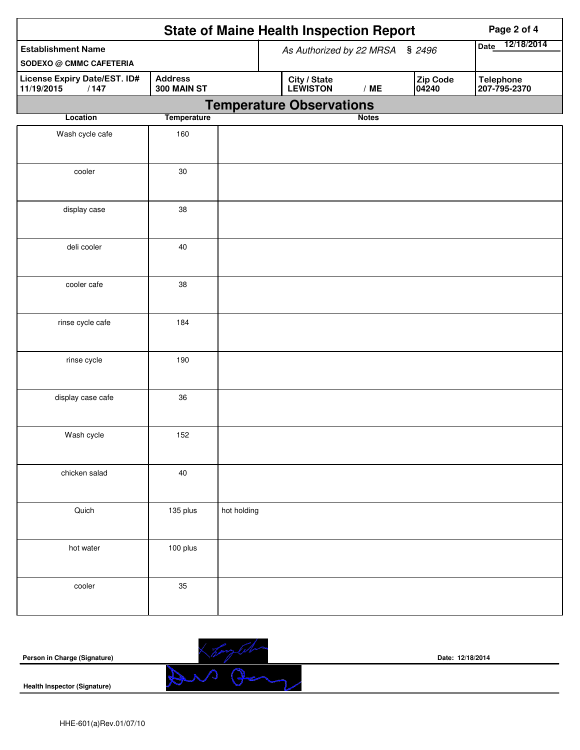|                                                             |                               | <b>State of Maine Health Inspection Report</b>       | Page 2 of 4                      |  |  |
|-------------------------------------------------------------|-------------------------------|------------------------------------------------------|----------------------------------|--|--|
| <b>Establishment Name</b><br><b>SODEXO @ CMMC CAFETERIA</b> |                               | As Authorized by 22 MRSA § 2496                      | 12/18/2014<br>Date               |  |  |
| License Expiry Date/EST. ID#<br>11/19/2015<br>/147          | <b>Address</b><br>300 MAIN ST | Zip Code<br>City / State<br>LEWISTON<br>/ME<br>04240 | <b>Telephone</b><br>207-795-2370 |  |  |
|                                                             |                               | <b>Temperature Observations</b>                      |                                  |  |  |
| Location                                                    | <b>Temperature</b>            | <b>Notes</b>                                         |                                  |  |  |
| Wash cycle cafe                                             | 160                           |                                                      |                                  |  |  |
| cooler                                                      | 30                            |                                                      |                                  |  |  |
| display case                                                | 38                            |                                                      |                                  |  |  |
| deli cooler                                                 | 40                            |                                                      |                                  |  |  |
| cooler cafe                                                 | 38                            |                                                      |                                  |  |  |
| rinse cycle cafe                                            | 184                           |                                                      |                                  |  |  |
| rinse cycle                                                 | 190                           |                                                      |                                  |  |  |
| display case cafe                                           | 36                            |                                                      |                                  |  |  |
| Wash cycle                                                  | 152                           |                                                      |                                  |  |  |
| chicken salad                                               | 40                            |                                                      |                                  |  |  |
| Quich                                                       | 135 plus                      | hot holding                                          |                                  |  |  |
| hot water                                                   | 100 plus                      |                                                      |                                  |  |  |
| cooler                                                      | 35                            |                                                      |                                  |  |  |

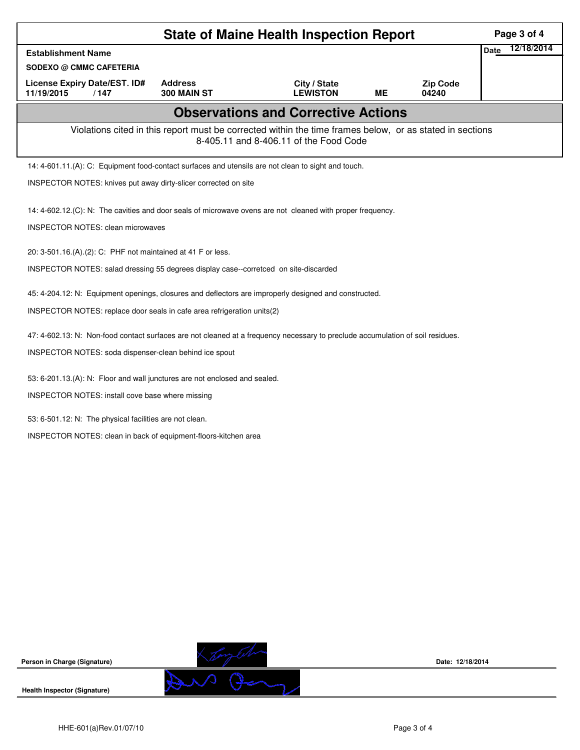|                                                                                                                                | Page 3 of 4                   |                                 |           |                          |                    |  |  |  |
|--------------------------------------------------------------------------------------------------------------------------------|-------------------------------|---------------------------------|-----------|--------------------------|--------------------|--|--|--|
| <b>Establishment Name</b>                                                                                                      |                               |                                 |           |                          | 12/18/2014<br>Date |  |  |  |
| <b>SODEXO @ CMMC CAFETERIA</b>                                                                                                 |                               |                                 |           |                          |                    |  |  |  |
| <b>License Expiry Date/EST. ID#</b><br>11/19/2015<br>/147                                                                      | <b>Address</b><br>300 MAIN ST | City / State<br><b>LEWISTON</b> | <b>ME</b> | <b>Zip Code</b><br>04240 |                    |  |  |  |
|                                                                                                                                |                               |                                 |           |                          |                    |  |  |  |
| Violations cited in this report must be corrected within the time frames below, or as stated in sections                       |                               |                                 |           |                          |                    |  |  |  |
| 14: 4-601.11.(A): C: Equipment food-contact surfaces and utensils are not clean to sight and touch.                            |                               |                                 |           |                          |                    |  |  |  |
| INSPECTOR NOTES: knives put away dirty-slicer corrected on site                                                                |                               |                                 |           |                          |                    |  |  |  |
|                                                                                                                                |                               |                                 |           |                          |                    |  |  |  |
| 14: 4-602.12.(C): N: The cavities and door seals of microwave ovens are not cleaned with proper frequency.                     |                               |                                 |           |                          |                    |  |  |  |
| <b>INSPECTOR NOTES: clean microwaves</b>                                                                                       |                               |                                 |           |                          |                    |  |  |  |
| 20: 3-501.16.(A).(2): C: PHF not maintained at 41 F or less.                                                                   |                               |                                 |           |                          |                    |  |  |  |
| INSPECTOR NOTES: salad dressing 55 degrees display case--corretced on site-discarded                                           |                               |                                 |           |                          |                    |  |  |  |
|                                                                                                                                |                               |                                 |           |                          |                    |  |  |  |
| 45: 4-204.12: N: Equipment openings, closures and deflectors are improperly designed and constructed.                          |                               |                                 |           |                          |                    |  |  |  |
| INSPECTOR NOTES: replace door seals in cafe area refrigeration units(2)                                                        |                               |                                 |           |                          |                    |  |  |  |
| 47: 4-602.13: N: Non-food contact surfaces are not cleaned at a frequency necessary to preclude accumulation of soil residues. |                               |                                 |           |                          |                    |  |  |  |
| INSPECTOR NOTES: soda dispenser-clean behind ice spout                                                                         |                               |                                 |           |                          |                    |  |  |  |
|                                                                                                                                |                               |                                 |           |                          |                    |  |  |  |
| 53: 6-201.13.(A): N: Floor and wall junctures are not enclosed and sealed.                                                     |                               |                                 |           |                          |                    |  |  |  |
| INSPECTOR NOTES: install cove base where missing                                                                               |                               |                                 |           |                          |                    |  |  |  |
| 53: 6-501.12: N: The physical facilities are not clean.                                                                        |                               |                                 |           |                          |                    |  |  |  |
| INSPECTOR NOTES: clean in back of equipment-floors-kitchen area                                                                |                               |                                 |           |                          |                    |  |  |  |
|                                                                                                                                |                               |                                 |           |                          |                    |  |  |  |
|                                                                                                                                |                               |                                 |           |                          |                    |  |  |  |
|                                                                                                                                |                               |                                 |           |                          |                    |  |  |  |
|                                                                                                                                |                               |                                 |           |                          |                    |  |  |  |
|                                                                                                                                |                               |                                 |           |                          |                    |  |  |  |



**Date: 12/18/2014**